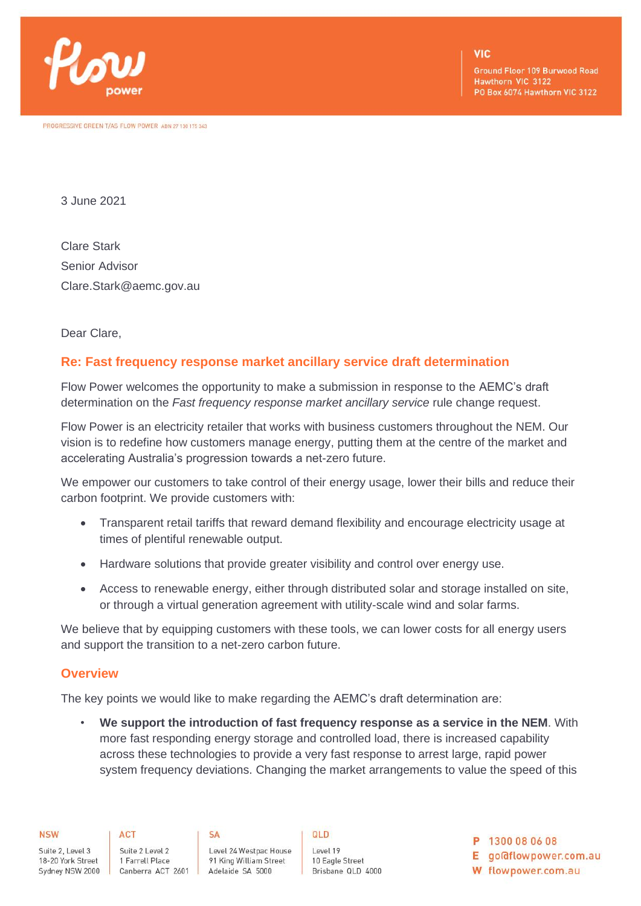

**Ground Floor 109 Burwood Road** Hawthorn VIC 3122 PO Box 6074 Hawthorn VIC 3122

3 June 2021

Clare Stark Senior Advisor Clare.Stark@aemc.gov.au

Dear Clare,

## **Re: Fast frequency response market ancillary service draft determination**

Flow Power welcomes the opportunity to make a submission in response to the AEMC's draft determination on the *Fast frequency response market ancillary service* rule change request.

Flow Power is an electricity retailer that works with business customers throughout the NEM. Our vision is to redefine how customers manage energy, putting them at the centre of the market and accelerating Australia's progression towards a net-zero future.

We empower our customers to take control of their energy usage, lower their bills and reduce their carbon footprint. We provide customers with:

- Transparent retail tariffs that reward demand flexibility and encourage electricity usage at times of plentiful renewable output.
- Hardware solutions that provide greater visibility and control over energy use.
- Access to renewable energy, either through distributed solar and storage installed on site, or through a virtual generation agreement with utility-scale wind and solar farms.

We believe that by equipping customers with these tools, we can lower costs for all energy users and support the transition to a net-zero carbon future.

### **Overview**

The key points we would like to make regarding the AEMC's draft determination are:

• **We support the introduction of fast frequency response as a service in the NEM**. With more fast responding energy storage and controlled load, there is increased capability across these technologies to provide a very fast response to arrest large, rapid power system frequency deviations. Changing the market arrangements to value the speed of this

Suite 2, Level 3 Suite 2 Level 2 18-20 York Street 1 Farrell Place

**ACT** 

Level 24 Westpac House 91 King William Street Sydney NSW 2000 Canberra ACT 2601 Adelaide SA 5000

**SA** 

QLD

Level 19 10 Eagle Street Brisbane QLD 4000 P 1300 08 06 08

E go@flowpower.com.au

W flowpower.com.au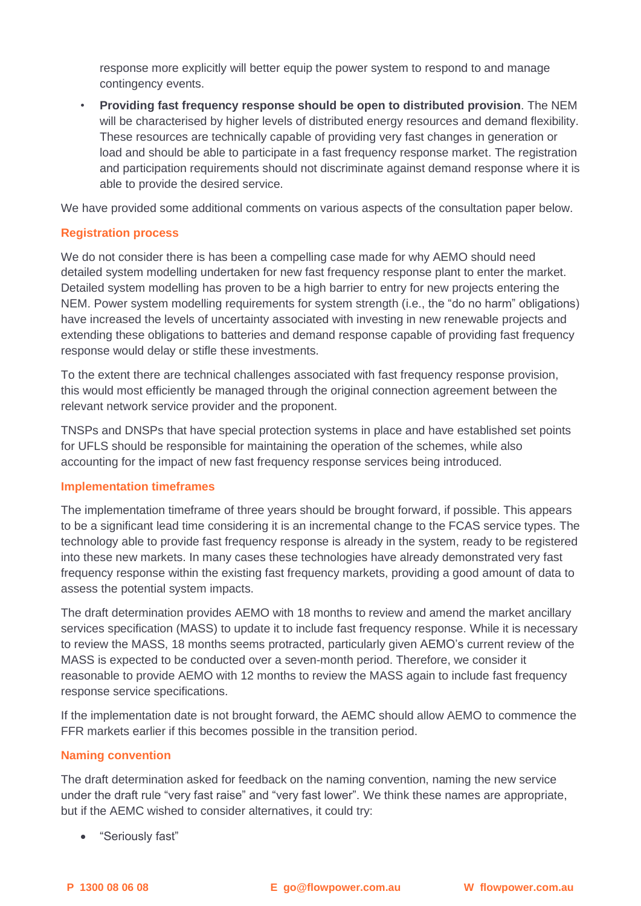response more explicitly will better equip the power system to respond to and manage contingency events.

• **Providing fast frequency response should be open to distributed provision**. The NEM will be characterised by higher levels of distributed energy resources and demand flexibility. These resources are technically capable of providing very fast changes in generation or load and should be able to participate in a fast frequency response market. The registration and participation requirements should not discriminate against demand response where it is able to provide the desired service.

We have provided some additional comments on various aspects of the consultation paper below.

## **Registration process**

We do not consider there is has been a compelling case made for why AEMO should need detailed system modelling undertaken for new fast frequency response plant to enter the market. Detailed system modelling has proven to be a high barrier to entry for new projects entering the NEM. Power system modelling requirements for system strength (i.e., the "do no harm" obligations) have increased the levels of uncertainty associated with investing in new renewable projects and extending these obligations to batteries and demand response capable of providing fast frequency response would delay or stifle these investments.

To the extent there are technical challenges associated with fast frequency response provision, this would most efficiently be managed through the original connection agreement between the relevant network service provider and the proponent.

TNSPs and DNSPs that have special protection systems in place and have established set points for UFLS should be responsible for maintaining the operation of the schemes, while also accounting for the impact of new fast frequency response services being introduced.

# **Implementation timeframes**

The implementation timeframe of three years should be brought forward, if possible. This appears to be a significant lead time considering it is an incremental change to the FCAS service types. The technology able to provide fast frequency response is already in the system, ready to be registered into these new markets. In many cases these technologies have already demonstrated very fast frequency response within the existing fast frequency markets, providing a good amount of data to assess the potential system impacts.

The draft determination provides AEMO with 18 months to review and amend the market ancillary services specification (MASS) to update it to include fast frequency response. While it is necessary to review the MASS, 18 months seems protracted, particularly given AEMO's current review of the MASS is expected to be conducted over a seven-month period. Therefore, we consider it reasonable to provide AEMO with 12 months to review the MASS again to include fast frequency response service specifications.

If the implementation date is not brought forward, the AEMC should allow AEMO to commence the FFR markets earlier if this becomes possible in the transition period.

### **Naming convention**

The draft determination asked for feedback on the naming convention, naming the new service under the draft rule "very fast raise" and "very fast lower". We think these names are appropriate, but if the AEMC wished to consider alternatives, it could try:

• "Seriously fast"